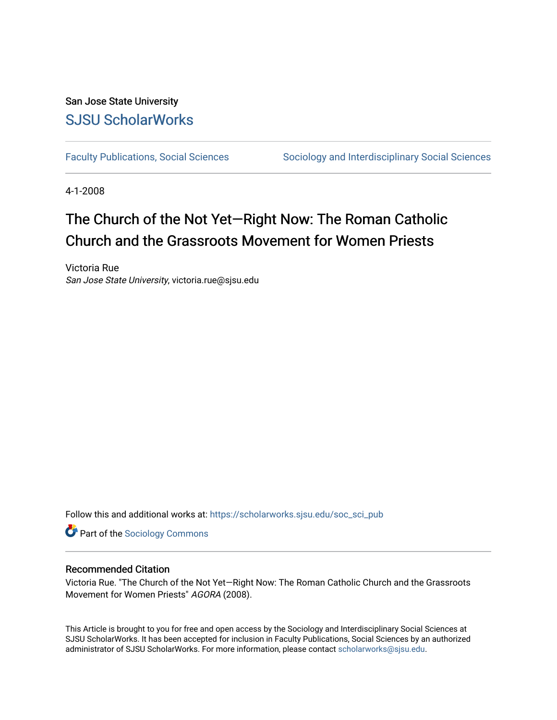## San Jose State University [SJSU ScholarWorks](https://scholarworks.sjsu.edu/)

[Faculty Publications, Social Sciences](https://scholarworks.sjsu.edu/soc_sci_pub) Sociology and Interdisciplinary Social Sciences

4-1-2008

# The Church of the Not Yet—Right Now: The Roman Catholic Church and the Grassroots Movement for Women Priests

Victoria Rue San Jose State University, victoria.rue@sjsu.edu

Follow this and additional works at: [https://scholarworks.sjsu.edu/soc\\_sci\\_pub](https://scholarworks.sjsu.edu/soc_sci_pub?utm_source=scholarworks.sjsu.edu%2Fsoc_sci_pub%2F5&utm_medium=PDF&utm_campaign=PDFCoverPages) 

**Part of the [Sociology Commons](http://network.bepress.com/hgg/discipline/416?utm_source=scholarworks.sjsu.edu%2Fsoc_sci_pub%2F5&utm_medium=PDF&utm_campaign=PDFCoverPages)** 

### Recommended Citation

Victoria Rue. "The Church of the Not Yet—Right Now: The Roman Catholic Church and the Grassroots Movement for Women Priests" AGORA (2008).

This Article is brought to you for free and open access by the Sociology and Interdisciplinary Social Sciences at SJSU ScholarWorks. It has been accepted for inclusion in Faculty Publications, Social Sciences by an authorized administrator of SJSU ScholarWorks. For more information, please contact [scholarworks@sjsu.edu](mailto:scholarworks@sjsu.edu).